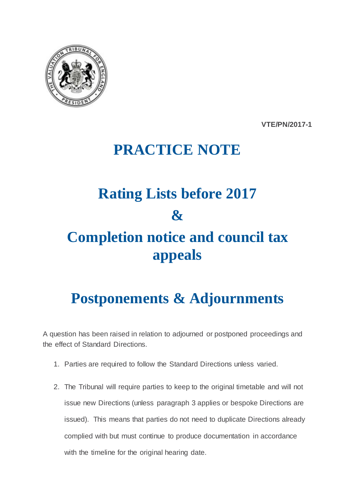

**VTE/PN/2017-1**

## **PRACTICE NOTE**

## **Rating Lists before 2017 & Completion notice and council tax appeals**

## **Postponements & Adjournments**

A question has been raised in relation to adjourned or postponed proceedings and the effect of Standard Directions.

- 1. Parties are required to follow the Standard Directions unless varied.
- 2. The Tribunal will require parties to keep to the original timetable and will not issue new Directions (unless paragraph 3 applies or bespoke Directions are issued). This means that parties do not need to duplicate Directions already complied with but must continue to produce documentation in accordance with the timeline for the original hearing date.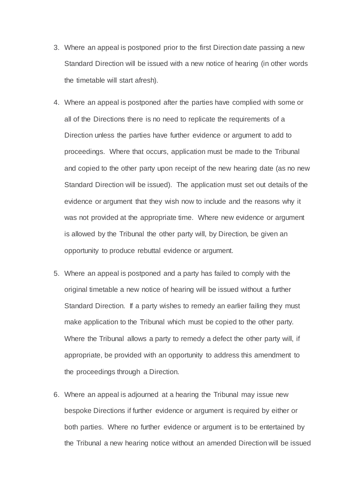- 3. Where an appeal is postponed prior to the first Direction date passing a new Standard Direction will be issued with a new notice of hearing (in other words the timetable will start afresh).
- 4. Where an appeal is postponed after the parties have complied with some or all of the Directions there is no need to replicate the requirements of a Direction unless the parties have further evidence or argument to add to proceedings. Where that occurs, application must be made to the Tribunal and copied to the other party upon receipt of the new hearing date (as no new Standard Direction will be issued). The application must set out details of the evidence or argument that they wish now to include and the reasons why it was not provided at the appropriate time. Where new evidence or argument is allowed by the Tribunal the other party will, by Direction, be given an opportunity to produce rebuttal evidence or argument.
- 5. Where an appeal is postponed and a party has failed to comply with the original timetable a new notice of hearing will be issued without a further Standard Direction. If a party wishes to remedy an earlier failing they must make application to the Tribunal which must be copied to the other party. Where the Tribunal allows a party to remedy a defect the other party will, if appropriate, be provided with an opportunity to address this amendment to the proceedings through a Direction.
- 6. Where an appeal is adjourned at a hearing the Tribunal may issue new bespoke Directions if further evidence or argument is required by either or both parties. Where no further evidence or argument is to be entertained by the Tribunal a new hearing notice without an amended Direction will be issued